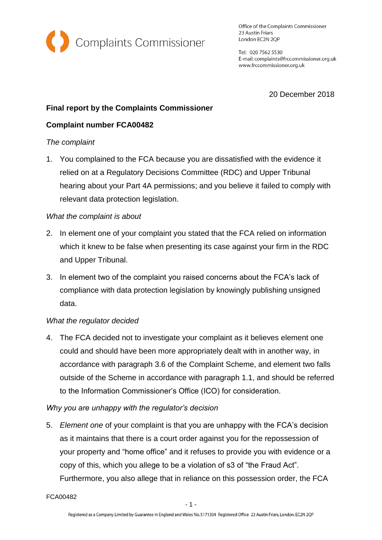

Office of the Complaints Commissioner 23 Austin Friars London EC2N 2QP

Tel: 020 7562 5530 E-mail: complaints@frccommissioner.org.uk www.frccommissioner.org.uk

20 December 2018

# **Final report by the Complaints Commissioner**

## **Complaint number FCA00482**

### *The complaint*

1. You complained to the FCA because you are dissatisfied with the evidence it relied on at a Regulatory Decisions Committee (RDC) and Upper Tribunal hearing about your Part 4A permissions; and you believe it failed to comply with relevant data protection legislation.

## *What the complaint is about*

- 2. In element one of your complaint you stated that the FCA relied on information which it knew to be false when presenting its case against your firm in the RDC and Upper Tribunal.
- 3. In element two of the complaint you raised concerns about the FCA's lack of compliance with data protection legislation by knowingly publishing unsigned data.

### *What the regulator decided*

4. The FCA decided not to investigate your complaint as it believes element one could and should have been more appropriately dealt with in another way, in accordance with paragraph 3.6 of the Complaint Scheme, and element two falls outside of the Scheme in accordance with paragraph 1.1, and should be referred to the Information Commissioner's Office (ICO) for consideration.

### *Why you are unhappy with the regulator's decision*

5. *Element one* of your complaint is that you are unhappy with the FCA's decision as it maintains that there is a court order against you for the repossession of your property and "home office" and it refuses to provide you with evidence or a copy of this, which you allege to be a violation of s3 of "the Fraud Act". Furthermore, you also allege that in reliance on this possession order, the FCA

FCA00482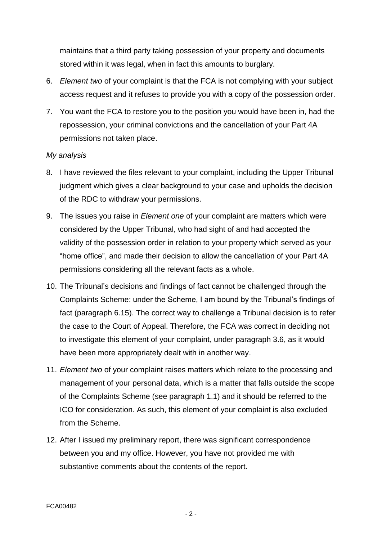maintains that a third party taking possession of your property and documents stored within it was legal, when in fact this amounts to burglary.

- 6. *Element two* of your complaint is that the FCA is not complying with your subject access request and it refuses to provide you with a copy of the possession order.
- 7. You want the FCA to restore you to the position you would have been in, had the repossession, your criminal convictions and the cancellation of your Part 4A permissions not taken place.

#### *My analysis*

- 8. I have reviewed the files relevant to your complaint, including the Upper Tribunal judgment which gives a clear background to your case and upholds the decision of the RDC to withdraw your permissions.
- 9. The issues you raise in *Element one* of your complaint are matters which were considered by the Upper Tribunal, who had sight of and had accepted the validity of the possession order in relation to your property which served as your "home office", and made their decision to allow the cancellation of your Part 4A permissions considering all the relevant facts as a whole.
- 10. The Tribunal's decisions and findings of fact cannot be challenged through the Complaints Scheme: under the Scheme, I am bound by the Tribunal's findings of fact (paragraph 6.15). The correct way to challenge a Tribunal decision is to refer the case to the Court of Appeal. Therefore, the FCA was correct in deciding not to investigate this element of your complaint, under paragraph 3.6, as it would have been more appropriately dealt with in another way.
- 11. *Element two* of your complaint raises matters which relate to the processing and management of your personal data, which is a matter that falls outside the scope of the Complaints Scheme (see paragraph 1.1) and it should be referred to the ICO for consideration. As such, this element of your complaint is also excluded from the Scheme.
- 12. After I issued my preliminary report, there was significant correspondence between you and my office. However, you have not provided me with substantive comments about the contents of the report.